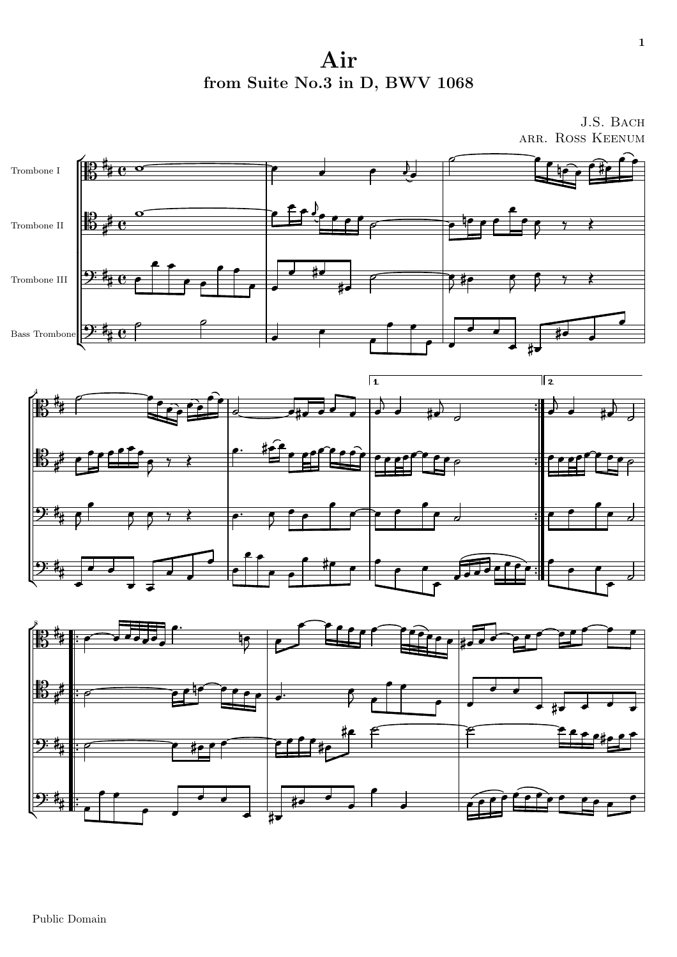Air from Suite No.3 in D, BWV 1068

J.S. BACH ARR. ROSS KEENUM